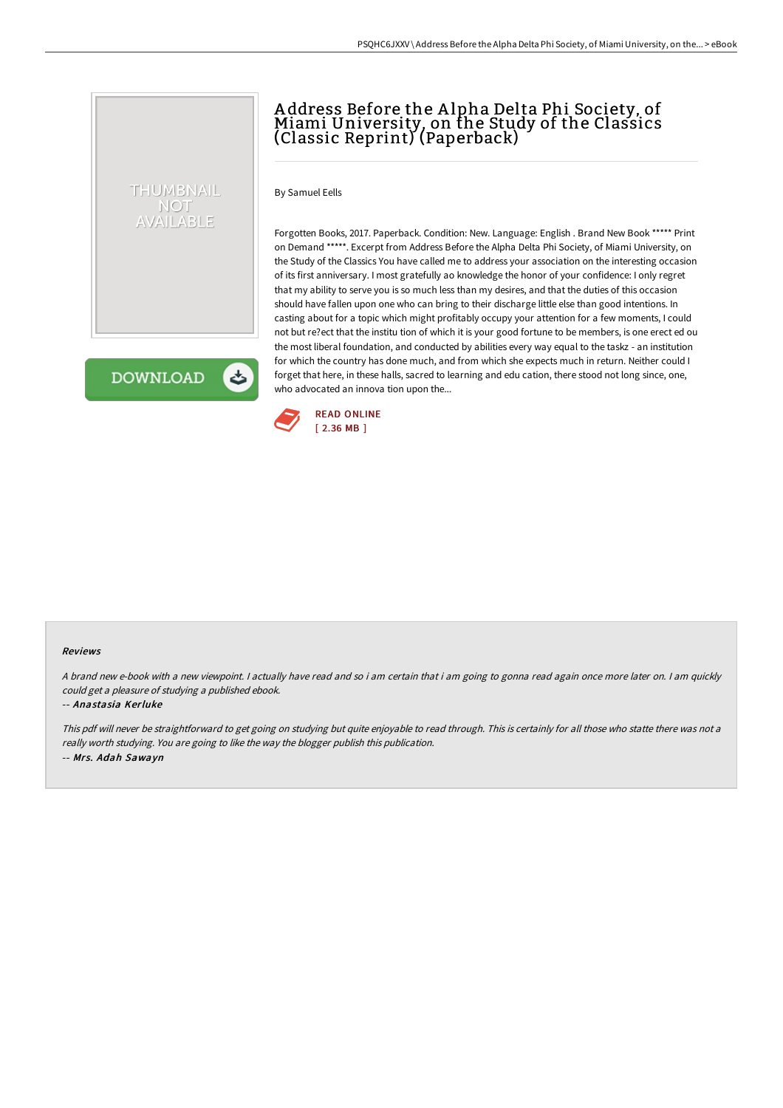# A ddress Before the A lpha Delta Phi Society, of Miami University, on the Study of the Classics (Classic Reprint) (Paperback)

By Samuel Eells

Forgotten Books, 2017. Paperback. Condition: New. Language: English . Brand New Book \*\*\*\*\* Print on Demand \*\*\*\*\*. Excerpt from Address Before the Alpha Delta Phi Society, of Miami University, on the Study of the Classics You have called me to address your association on the interesting occasion of its first anniversary. I most gratefully ao knowledge the honor of your confidence: I only regret that my ability to serve you is so much less than my desires, and that the duties of this occasion should have fallen upon one who can bring to their discharge little else than good intentions. In casting about for a topic which might profitably occupy your attention for a few moments, I could not but re?ect that the institu tion of which it is your good fortune to be members, is one erect ed ou the most liberal foundation, and conducted by abilities every way equal to the taskz - an institution for which the country has done much, and from which she expects much in return. Neither could I forget that here, in these halls, sacred to learning and edu cation, there stood not long since, one, who advocated an innova tion upon the...

**DOWNLOAD** 

ٹ

THUMBNAIL NOT AVAILABLE



#### Reviews

A brand new e-book with <sup>a</sup> new viewpoint. I actually have read and so i am certain that i am going to gonna read again once more later on. I am quickly could get <sup>a</sup> pleasure of studying <sup>a</sup> published ebook.

#### -- Anastasia Kerluke

This pdf will never be straightforward to get going on studying but quite enjoyable to read through. This is certainly for all those who statte there was not <sup>a</sup> really worth studying. You are going to like the way the blogger publish this publication. -- Mrs. Adah Sawayn